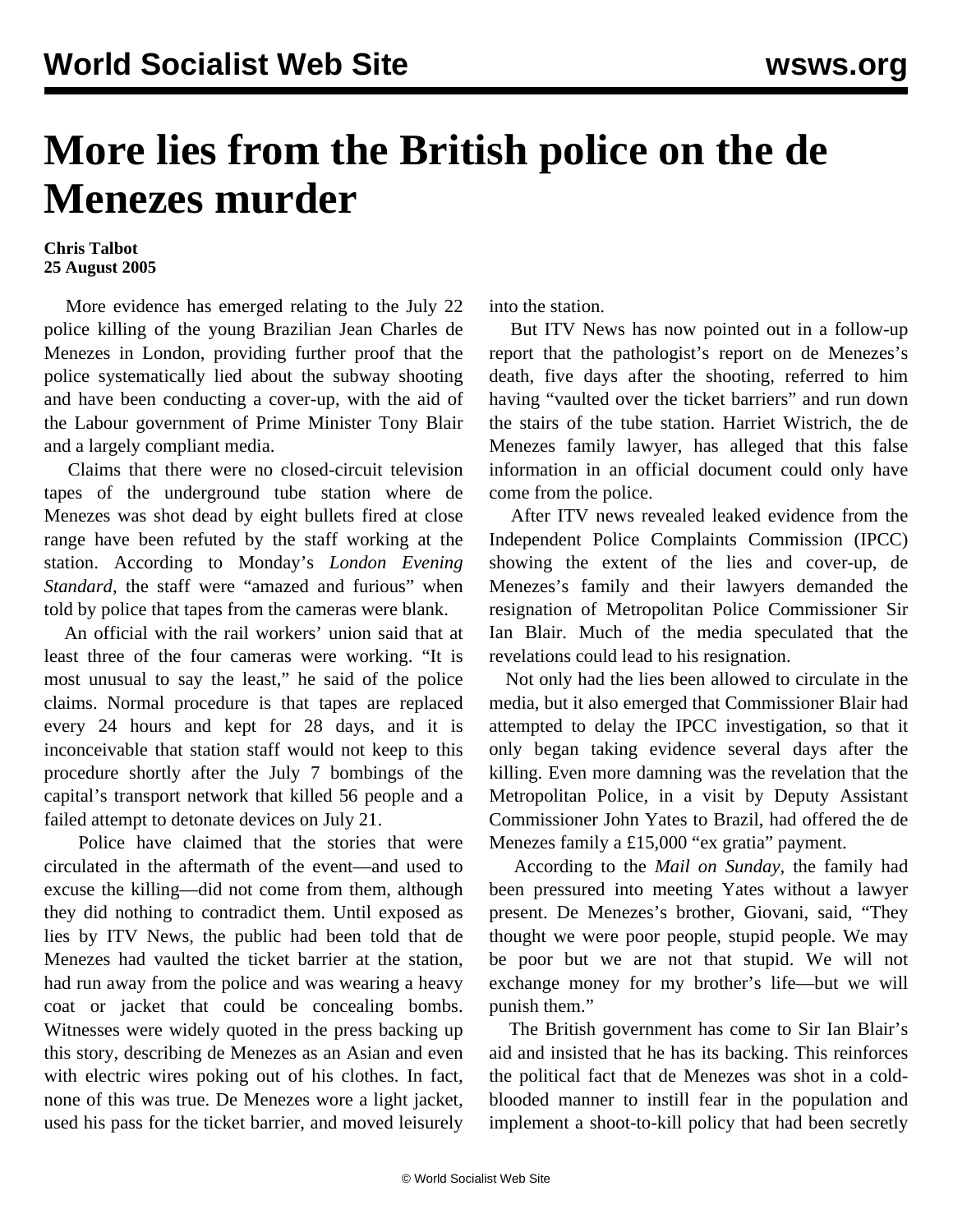## **More lies from the British police on the de Menezes murder**

## **Chris Talbot 25 August 2005**

 More evidence has emerged relating to the July 22 police killing of the young Brazilian Jean Charles de Menezes in London, providing further proof that the police systematically lied about the subway shooting and have been conducting a cover-up, with the aid of the Labour government of Prime Minister Tony Blair and a largely compliant media.

 Claims that there were no closed-circuit television tapes of the underground tube station where de Menezes was shot dead by eight bullets fired at close range have been refuted by the staff working at the station. According to Monday's *London Evening Standard*, the staff were "amazed and furious" when told by police that tapes from the cameras were blank.

 An official with the rail workers' union said that at least three of the four cameras were working. "It is most unusual to say the least," he said of the police claims. Normal procedure is that tapes are replaced every 24 hours and kept for 28 days, and it is inconceivable that station staff would not keep to this procedure shortly after the July 7 bombings of the capital's transport network that killed 56 people and a failed attempt to detonate devices on July 21.

 Police have claimed that the stories that were circulated in the aftermath of the event—and used to excuse the killing—did not come from them, although they did nothing to contradict them. Until exposed as lies by ITV News, the public had been told that de Menezes had vaulted the ticket barrier at the station, had run away from the police and was wearing a heavy coat or jacket that could be concealing bombs. Witnesses were widely quoted in the press backing up this story, describing de Menezes as an Asian and even with electric wires poking out of his clothes. In fact, none of this was true. De Menezes wore a light jacket, used his pass for the ticket barrier, and moved leisurely

into the station.

 But ITV News has now pointed out in a follow-up report that the pathologist's report on de Menezes's death, five days after the shooting, referred to him having "vaulted over the ticket barriers" and run down the stairs of the tube station. Harriet Wistrich, the de Menezes family lawyer, has alleged that this false information in an official document could only have come from the police.

 After ITV news revealed leaked evidence from the Independent Police Complaints Commission (IPCC) showing the extent of the lies and cover-up, de Menezes's family and their lawyers demanded the resignation of Metropolitan Police Commissioner Sir Ian Blair. Much of the media speculated that the revelations could lead to his resignation.

 Not only had the lies been allowed to circulate in the media, but it also emerged that Commissioner Blair had attempted to delay the IPCC investigation, so that it only began taking evidence several days after the killing. Even more damning was the revelation that the Metropolitan Police, in a visit by Deputy Assistant Commissioner John Yates to Brazil, had offered the de Menezes family a £15,000 "ex gratia" payment.

 According to the *Mail on Sunday*, the family had been pressured into meeting Yates without a lawyer present. De Menezes's brother, Giovani, said, "They thought we were poor people, stupid people. We may be poor but we are not that stupid. We will not exchange money for my brother's life—but we will punish them."

 The British government has come to Sir Ian Blair's aid and insisted that he has its backing. This reinforces the political fact that de Menezes was shot in a coldblooded manner to instill fear in the population and implement a shoot-to-kill policy that had been secretly